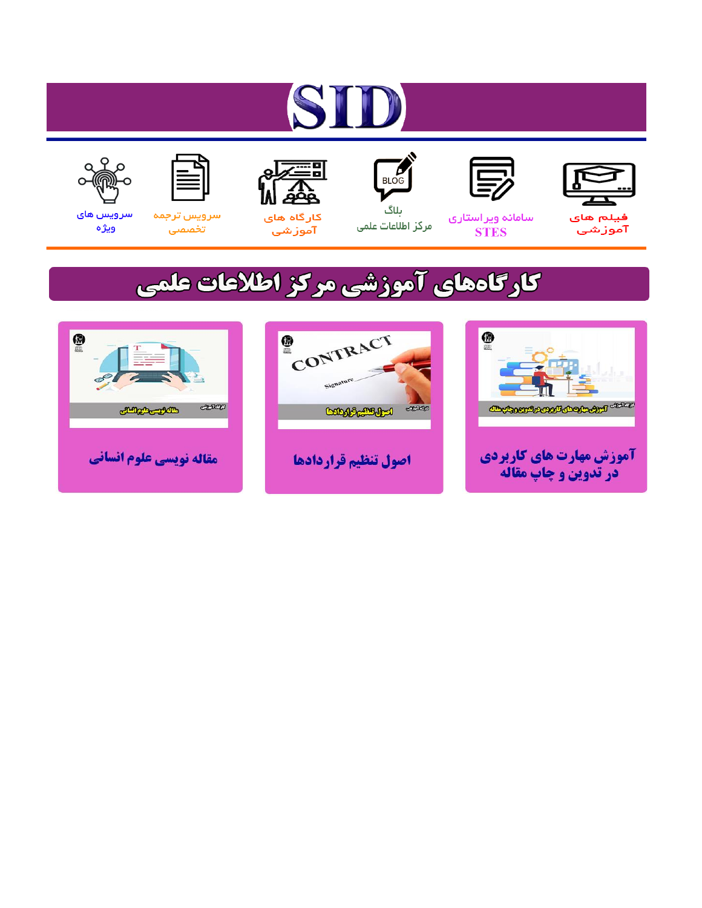# ST









### سامائه ويراستاري **STES**



ىلاگ مرکز اطلاعات علمی



ققق کارگاه های

آموزشي

空



تخصصى

سرویس های ويژه

## كارگاههای آموزشی مركز اطلاعات علمی





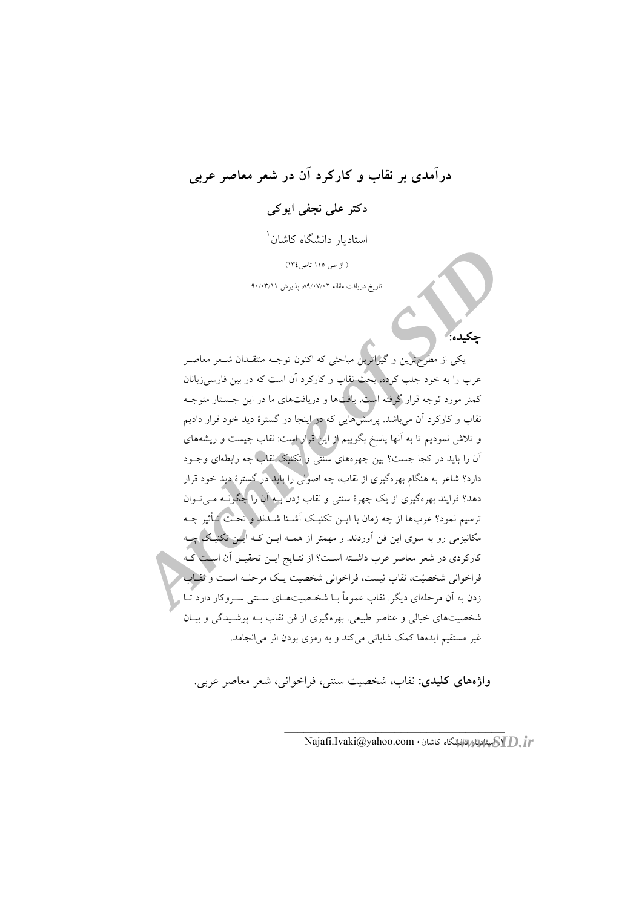## درآمدي پر نقاب و کارکرد آن در شعر معاصر عربي

## دکتر علی نحفی ابو کی

استادىار دانشگاه كاشان<sup>۱</sup>

( از ص ١١٥ تاص ١٣٤)

تاریخ دریافت مقاله ۸۹/۰۷/۰۲ پذیرش ۹۰/۰۳/۱۱

یکی از مطرحترین و گیراترین مباحثی که اکنون توجـه منتقـدان شـعر معاصـر عرب را به خود جلب کرده، بحث نقاب و کارکرد آن است که در بین فارسیزبانان کمتر مورد توجه قرار گرفته است. یافتها و دریافتهای ما در این جــستار متوجــه نقاب و کارکرد آن میباشد. پرسشهایی که در اینجا در گسترهٔ دید خود قرار دادیم و تلاش نمودیم تا به آنها پاسخ بگوییم از ایل قرار است: نقاب چیست و ریشههای آن را باید در کجا جست؟ بین چهرههای سنتی و تکنیک نقاب چه رابطهای وجـود دارد؟ شاعر به هنگام بهرهگیری از نقاب، چه اصولی را باید در گسترهٔ دید خود قرار دهد؟ فرایند بهرهگیری از یک چهرهٔ سنتی و نقاب زدن بــه اَن را چگونــه مــ تــوان ترسيم نمود؟ عربها از چه زمان با اين تكنيك أشـنا شـدند و تحـت تـأثير چـه مکانیزمی رو به سوی این فن آوردند. و مهمتر از همــه ایــن کــه ایــلن تکنیــک چــه كاركردي در شعر معاصر عرب داشـته اسـت؟ از نتـايج ايـن تحقيـق آن اسـف كـه فراخوانی شخصیّت، نقاب نیست، فراخوانی شخصیت یـک مرحلـه اسـت و نقـاب زدن به آن مرحلهای دیگر. نقاب عموماً بـا شخـصیتهـای سـنتی سـروکار دارد تـّـا شخصیتهای خیالی و عناصر طبیعی. بهرهگیری از فن نقاب بــه پوشــیدگی و بیــان غیر مستقیم ایدهها کمک شایانی می کند و به رمزی بودن اثر می انجامد.

واژههای کلیدی: نقاب، شخصیت سنتی، فراخوانی، شعر معاصر عربی.

Najafi.Ivaki@yahoo.com • الشان المقابل المقابل المقابل المقابل المقابل المقابل المقابل المقابل المقابل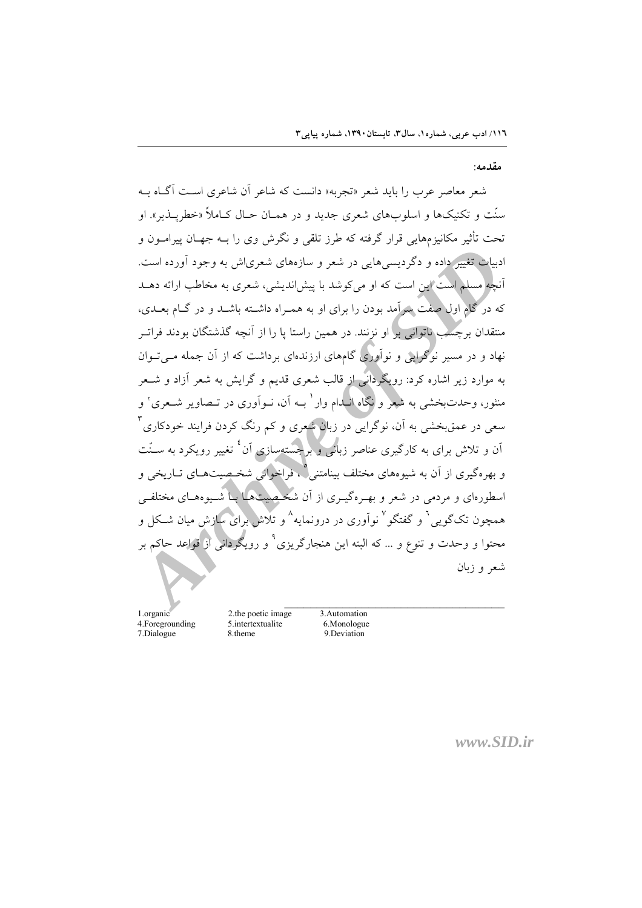مقدمه:

شعر معاصر عرب را باید شعر «تجربه» دانست که شاعر آن شاعری است آگیاه ب سنّت و تکنیکها و اسلوبهای شعری جدید و در همـان حـال کـاملاً «خطریــذیر». او تحت تأثیر مکانیزمهایی قرار گرفته که طرز تلقی و نگرش وی را بــه جهــان پیرامــون و ادبیات تغییر داده و دگردیسیهایی در شعر و سازههای شعریاش به وجود آورده است. أنچه مسلم است این است که او میکوشد با پیش اندیشی، شعری به مخاطب ارائه دهــد که در گام اول صفت پیرآمد بودن را برای او به همـراه داشـته باشـد و در گـام بعـدی، منتقدان برچسب ناتوانی بر او نزنند. در همین راستا یا را از آنچه گذشتگان بودند فرات نهاد و در مسیر نوگرایی و نوآوری گامهای ارزندهای برداشت که از آن جمله مــی تــوان به موارد زیر اشاره کرد: رویگردانی از قالب شعری قدیم و گرایش به شعر آزاد و شــعر منثور، وحدتبخشی به شعر و نگاه انبدام وار ٔ بـه آن، نـوآوری در تـصاویر شـعری ٔ و سعی در عمق بخشی به آن، نوگرایی در زبان شعری و کم رنگ کردن فرایند خودکاری آن و تلاش برای به کارگیری عناصر زبانی و برجستهسازی آن<sup>:</sup> تغییر رویکرد به ســُنت و پهره گېږي از آن په شپوههاي مختلف پېنامتنې ۱ وراخواني شخېصیتهياي تياريخې و اسطورهای و مردمی در شعر و بهـرهگیـری از آن شخـصیتها بــا شـــوههـای مختلفــ همچون تکگویی آ و گفتگو <sup>۷</sup> نوآوری در درونمایه <sup>^</sup> و تلاش برای سازش میان شـکل و محتوا و وحدت و تنوع و … که البته این هنجارگریزی ْ و رویگردانی از قواعد حاکم بر شعر و زبان

1.organic 4. Foregrounding 7.Dialogue

2.the poetic image 5.intertextualite 8.theme

3.Automation 6.Monologue 9.Deviation

 $www.SID.fr$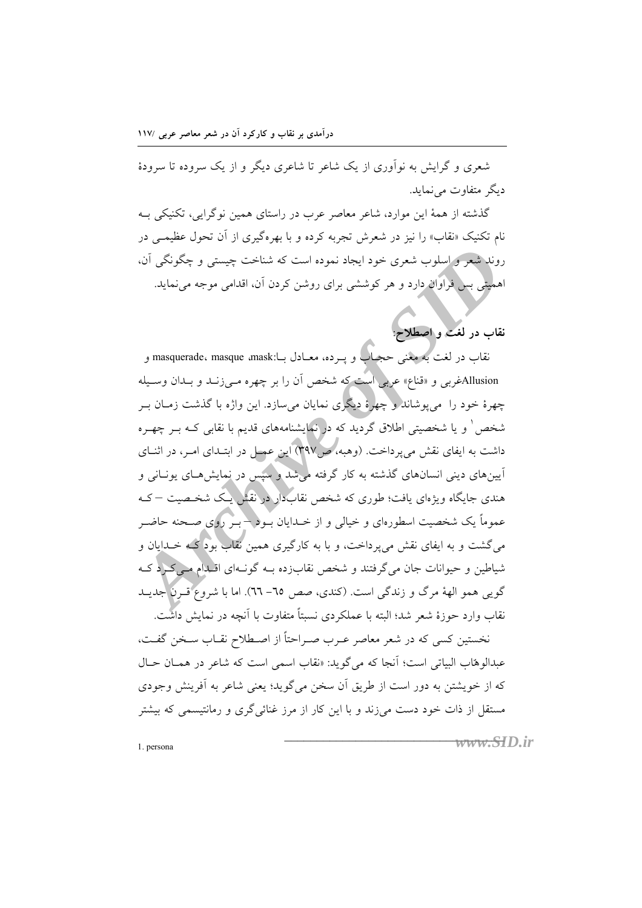درآمدی بر نقاب و کارکرد آن در شعر معاصر عربی /۱۱۷

شعری و گرایش به نوآوری از یک شاعر تا شاعری دیگر و از یک سروده تا سرودهٔ دیگر متفاوت مے نماید.

گذشته از همهٔ این موارد، شاعر معاصر عرب در راستای همین نوگرایی، تکنیکی بـه نام تکنیک «نقاب» را نیز در شعرش تجربه کرده و با بهرهگیری از آن تحول عظیمــی در روند شعر و اسلوب شعري خود ايجاد نموده است كه شناخت چيستي و چگونگي آن، اهمیتی بس فراوان دارد و هر کوششی برای روشن کردن آن، اقدامی موجه می نماید.

## نقاب در لغت و اصطلاح

نقاب در لغت به معنى حجباب و پــرده، معــادل بــا:masquerade، masque ،mask و Allusionغربی و «قناع» عربی است که شخص آن را بر چهره مـیiزــد و بــدان وســیله چهرهٔ خود را ً مي پوشاند و چهرهٔ ديگري نمايان ميسازد. اين واژه با گذشت زمـان بـر شخص ٰ و یا شخصیتی اطلاق گردید که در نمایشنامههای قدیم با نقابی کــه بــر چهــره داشت به ایفای نقش میپرداخت. (وهبه، ص۴۹۷) این عمسل در ابتـدای امـر، در اثنــای آیینهای دینی انسانهای گذشته به کار گرفته م<mark>ی</mark>شد و سپس در نمایشهـای یونــانی و هندی جایگاه ویژهای یافت؛ طوری که شخص نقابدار در نقش یک شخیصیت –ک عموماً یک شخصیت اسطورهای و خیالی و از خــدایان بــود – بــر روی صــحنه حاضــر می گشت و به ایفای نقش می پرداخت، و با به کارگیری همین نقاب بود گیه خــدایان و شیاطین و حیوانات جان می گرفتند و شخص نقاب(ده بـه گونـهای اقـلدام مـی کـرد کـه گویی همو الههٔ مرگ و زندگی است. (کندی، صص ٦٥–٦٦). اما با شروع قـرن جدیـد نقاب وارد حوزهٔ شعر شد؛ البته با عملکردی نسبتاً متفاوت با آنچه در نمایش داشت.

نخستین کسی که در شعر معاصر عـرب صـراحتاً از اصـطلاح نقــاب سـخن گفــت، عبدالوهاب البياتي است؛ آنجا كه مي گويد: «نقاب اسمي است كه شاعر در همسان حسال که از خویشتن به دور است از طریق آن سخن میگوید؛ یعنی شاعر به آفرینش وجودی مستقل از ذات خود دست می;ند و با این کار از مرز غنائی گری و رمانتیسمی که بیشتر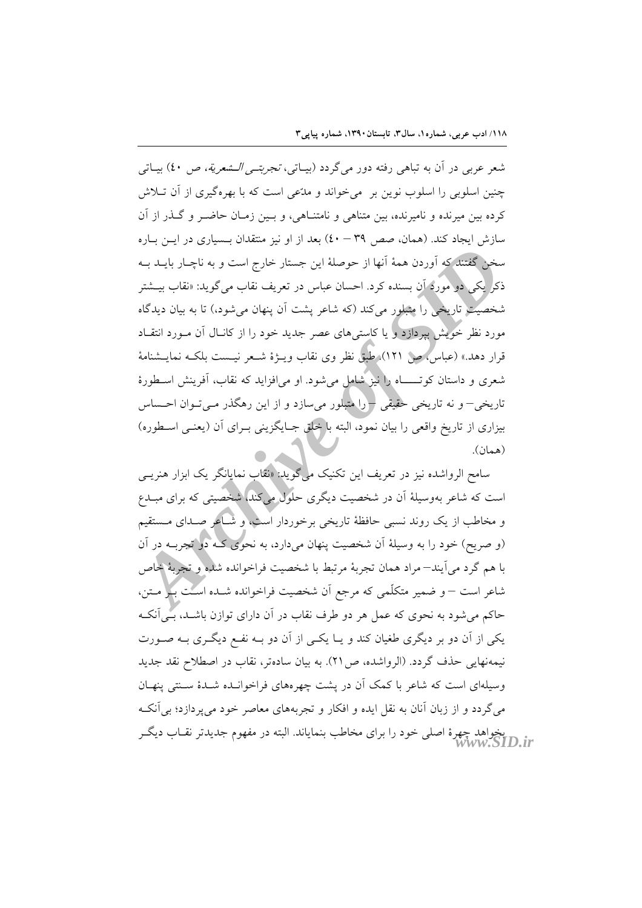شعر عربي در اَن به تباهي رفته دور مي گردد (بيـاتي، *تجربتــي الــشعرية، ص ٤٠*) بيــاتي چنین اسلوبی را اسلوب نوین بر ً می خواند و مدّعی است که با بهرهگیری از آن تــلاش کرده بین میرنده و نامیرنده، بین متناهی و نامتنـاهی، و بـین زمـان حاضـر و گـذر از آن سازش ایجاد کند. (همان، صص ۳۹ – ٤٠) بعد از او نیز منتقدان بـسیاری در ایـن بـاره سخن گفتند که آوردن همهٔ آنها از حوصلهٔ این جستار خارج است و به ناچـار بایــد بــه ذکر یکی دو مورد آن بسنده کرد. احسان عباس در تعریف نقاب میگوید: «نقاب بیــشتر شخصیت تاریخی را متبلور میکند (که شاعر پشت اَن پنهان میشود،) تا به بیان دیدگاه مورد نظر خویش بیردازد و یا کاسته های عصر جدید خود را از کانـال آن مـورد انتقـاد قرار دهد.» (عباسُ،ص ١٢١). طبق نظر وي نقابٍ ويــژهٔ شــعر نيــست بلكــه نمايــشنامهٔ شعری و داستان کوتـــــــاه را نیز شامل میشود. او می|فزاید که نقاب، اَفرینش اســطورهٔ تاریخی– و نه تاریخی حقیقی – را متبلور میسازد و از این رهگذر مــیتــوان احــساس بیزاری از تاریخ واقعی را بیان نمود، البته با خلق جـایگزینی بـرای آن (یعنـی اسـطوره) (همان).

سامح الرواشده نیز در تعریف این تکنیک میگوید: «نقاب نمایانگر یک ابزار هنری*ـی* است که شاعر بهوسیلهٔ اَن در شخصیت دیگری حلول می(کند) شخصیتی که برای مبــدع و مخاطب از یک روند نسبی حافظهٔ تاریخی برخوردار آست، و شـاعر صـدای مـستقیم (و صریح) خود را به وسیلهٔ آن شخصیت پنهان میدارد، به نحوی کـه دول تجربــه در آن با هم گرد می آیند—مراد همان تجربهٔ مرتبط با شخصیت فراخوانده شده و تجربهٔ خاص شاعر است – و ضمیر متکلّمی که مرجع اَن شخصیت فراخوانده شـده اسـُت بَـُوْ مـتن، حاکم میشود به نحوی که عمل هر دو طرف نقاب در آن دارای توازن باشــد، بــیlنکـه یکی از آن دو بر دیگری طغیان کند و یـا یکـی از آن دو بــه نفــع دیگــری بــه صــورت نيمهنهايي حذف گردد. (الرواشده، ص٢١). به بيان سادهتر، نقاب در اصطلاح نقد جديد وسیلهای است که شاعر با کمک آن در پشت چهرههای فراخوانـده شـدهٔ سـنتی پنهـان می گردد و از زبان آنان به نقل ایده و افکار و تجربههای معاصر خود میپردازد؛ بی آنک بخواهد چهرهٔ اصلی خود را برای مخاطب بنمایاند. البته در مفهوم جدیدتر نقــاب دیگــر<br>WWW.SID.ir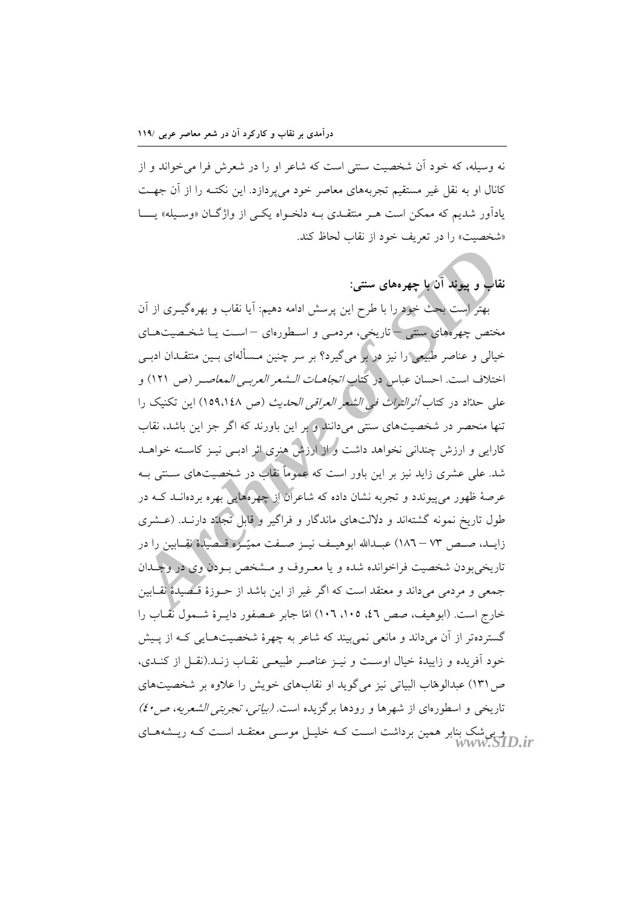نه وسیله، که خود آن شخصیت سنتی است که شاعر او را در شعرش فرا می خواند و از کانال او به نقل غیر مستقیم تجربههای معاصر خود میپردازد. این نکتـه را از آن جهـت یادآور شدیم که ممکن است هـر منتقـدی بـه دلخـواه یکـی از واژگـان «وسـیله» یـــا «شخصيت» را در تعريف خود از نقاب لحاظ كند.

نقاب و پیوند آن با چهرههای سنتی:

بهتر است بحث خود را با طرح این پرسش ادامه دهیم: آیا نقاب و بهرهگیـری از آن مختص چهرههای سنتی – تاریخی، مردمـی و اسـطورهای – اسـت یــا شخـصیتهــای خیالی و عناصر طبیعی را نیز در بر میگیرد؟ بر سر چنین مـسألهای بــین منتقــدان ادبــی اختلاف است. احسان عباس در كتاب *اتجاهــات الــشعر العربــى المعاصــر (*ص ١٢١) و على حدّاد در كتاب *أثرالتراث في الشعر العراقي الحديث (ص ١٥٩،١٤٨*) اين تكنيك را تنها منحصر در شخصیتهای سنتی میدانند و بر این باورند که اگر جز این باشد، نقاب کارایی و ارزش چندانی نخواهد داشت و از ارزش هنری اثر ادبسی نیـز کاسـته خواهــد شد. علی عشری زاید نیز بر این باور است که عموماً نقاب در شخصیتهای سـنتی بـه عرصهٔ ظهور می پیوندد و تجربه نشان داده که شاعران از چهرههایی بهره بردهانــد کــه در طول تاریخ نمونه گشتهاند و دلالتهای ماندگار و فراگیر و قابل تجلُّد دارنـد. (عـشری زايــد، صــص ٧٣ – ١٨٦) عبــدالله ابوهيــف نيــز صــفت مميّــزه قــصيدة نقــابين را در تاريخي بودن شخصيت فراخوانده شده و يا معـروف و مــشخص بــودن وي در وجــدان جمعي و مردمي ميداند و معتقد است كه اگر غير از اين باشد از حــوزهٔ قــُـطْمِيدهٔ نقــابين خارج است. (ابوهیف، صص ٤٦، ١٠٥، ١٠٦) امّا جابر عــصفور دايــرهٔ شــمول نقّــاب را گستردهتر از آن میداند و مانعی نمیبیند که شاعر به چهرهٔ شخصیتهـایی کـه از پـیش خود اَفریده و زاییدهٔ خیال اوست و نیـز عناصـر طبیعـی نقـاب زنــد.(نقــل از کنــدی، ص ۱۳۱) عبدالوهاب البیاتی نیز میگوید او نقابهای خویش را علاوه بر شخصیتهای تاریخی و اسطورهای از شهرها و رودها برگزیده است. *(بیاتی، تجربتی الشعریه، ص ٤٠)* و می شک بنابر همین برداشت اسـت کـه خلیـل موسـی معتقـد اسـت کـه ریــشههــای<br>www.SID.ir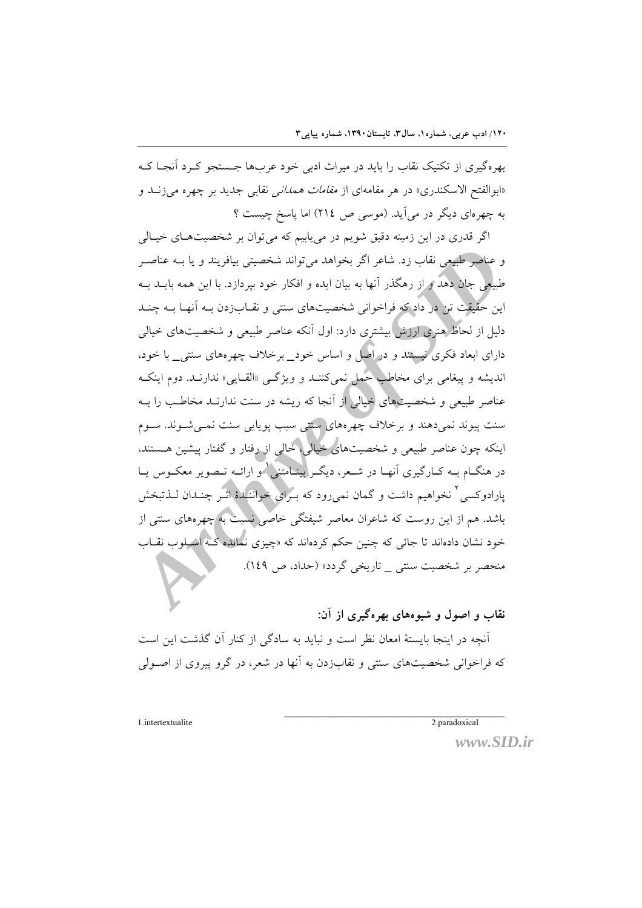بھرہگیری از تکنیک نقاب را باید در میراث ادبی خود عربھا جستجو کے د آنجا ک «ابوالفتح الاسکندری» در هر مقامهای از *مقامات همدانی* نقابی جدید بر چهره می¿نــد و به چهر مای دیگر در می آید. (موسی ص ٢١٤) اما پاسخ چیست ؟

اگر قدری در این زمینه دقیق شویم در می پاییم که می توان بر شخصیتهـای خیـالی و عناصر طبیعی نقاب زد. شاعر اگر بخواهد می تواند شخصیتی بیافریند و یا بــه عناصـر طبیعی جان دهد و از رهگذر آنها به بیان ایده و افکار خود بیردازد. با این همه بایــد بــه این حقیقت تن در داد که فراخوانی شخصیتهای سنتی و نقـابزدن بــه آنهـا بــه چنــد دلیل از لحاظ هنری ارزش بیشتری دارد: اول آنکه عناصر طبیعی و شخصیتهای خیالی دارای ابعاد فکری نیستند و در اصل و اساس خود\_ برخلاف چهرههای سنتی\_ با خود، اندیشه و پیغامی برای مخاطب حمل نمیکننـد و ویژگـی «القـایی» ندارنـد. دوم اینکـه عناصر طبیعی و شخصیتهای خیالی از آنجا که ریشه در سنت ندارنـد مخاطـب را بـه سنت پیوند نمیدهند و برخلاف چهرههای سنتی سبب پویایی سنت نمــیشــوند. ســوم اینکه چون عناصر طبیعی و شخصیتهای خیالی، خالی از رفتار و گفتار پیشین هستند، در هنگــام بــه كــارگيري آنهــا در شــعر، ديگــر بينــامتنـي\و ارائــه تــصوير معكــوس يــا پارادوکسی ٔ نخواهیم داشت و گمان نمی رود که بــرای خواننهدهٔ اثــر چنــدان لــذتبخش باشد. هم از این روست که شاعران معاصر شیفتگی خاصی نسبت به چهرههای سنتی از خود نشان دادهاند تا جائی که چنین حکم کردهاند که «چیزی نمانده کـ» اسـلوب نقــاب منحصر بر شخصیت سنتی \_ تاریخی گردد» (حداد، ص ١٤٩).

نقاب و اصول و شیوههای بهرهگبری از آن:

آنچه در اینجا بایستهٔ امعان نظر است و نباید به سادگی از کنار آن گذشت این است که فراخوانی شخصیتهای سنتی و نقابزدن به آنها در شعر، در گرو پیروی از اصـولی

2.paradoxical

1.intertextualite

www.SID.ir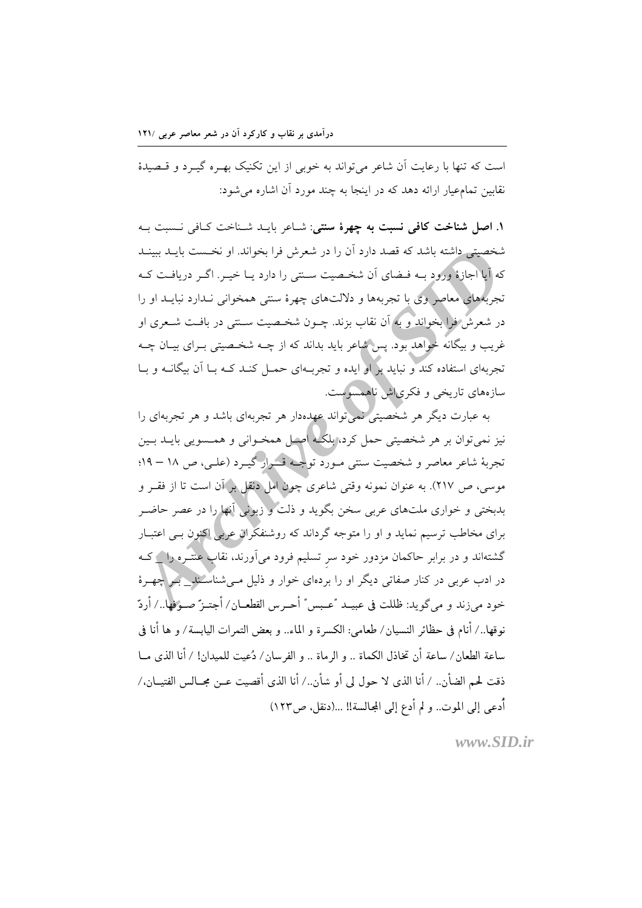است که تنها با رعایت آن شاعر می تواند به خوبی از این تکنیک بهـره گیـرد و قـصیدهٔ نقابین تمام عیار ارائه دهد که در اینجا به چند مورد آن اشاره می شود:

١. اصل شناخت كافى نسبت به چهرهٔ سنتى: شباعر بايبد شبناخت كيافى نسبت بيه شخصیتی داشته باشد که قصد دارد آن را در شعرش فرا بخواند. او نخـست بایــد ببینــد که آیا اجازهٔ ورود بــه فــضای آن شخــصیت ســنتی را دارد یــا خیــر. اگــر دریافــت کــه تجربُههایی معاصر وی با تجربهها و دلالتهای چهرهٔ سنتی همخوانی نـدارد نبایــد او را در شعرش فرا بخواند و به آن نقاب بزند. چــون شخـصیت ســنتی در بافـت شــعری او غریب و بیگانه خواهد بود. پس شاعر باید بداند که از چــه شخـصیتی بــرای بیــان چــه تجربهای استفاده کند و نباید بر او ایده و تجربـهای حمـل کنـد کـه بـا آن بیگانــه و بـا سازههای تاریخی و فکری اش ناهمسوست.

به عبارت دیگر هر شخصیتی نمی تواند عهدهدار هر تجربهای باشد و هر تجربهای را نیز نمی توان بر هر شخصیتی حمل کرد، پلگیه اصل همخبوانی و همسویی بایید بیین تجربهٔ شاعر معاصر و شخصیت سنتی مـورد توجـه قــرار گیـرد (علـی، ص ۱۸ – ۱۹: موسى، ص ٢١٧). به عنوان نمونه وقتى شاعرى چول امل دنقل بر آن است تا از فقـر و بدبختی و خواری ملتهای عربی سخن بگوید و ذلت و زبونی آنها را در عصر حاضـر برای مخاطب ترسیم نماید و او را متوجه گرداند که روشنفکران عربی اکنون بـی اعتبـار گشتهاند و در برابر حاکمان مزدور خود سر تسلیم فرود میآورند، نقاب عنتـره را ۱ کـه در ادب عربی در کنار صفاتی دیگر او را بردهای خوار و ذلیل مـیشناسـَـند\_ بـر چهـرهٔ خود مي;ند و ميگويد: ظللت في عبيــد "عـبس" أحــرس القطعــان/ أجتــزّ صــوفها../ أردّ نوقها../ أنام في حظائر النسيان/ طعامي: الكسرة و الماء.. و بعض التمرات اليابسة/ و ها أنا في ساعة الطعان/ ساعة أن تخاذل الكماة .. و الرماة .. و الفرسان/ دُعيت للميدان! / أنا الذي مــا ذقت لحم الضأن.. / أنا الذي لا حول لي أو شأن../ أنا الذي أقصيت عــن مجــالس الفتيــان،/ أدعى إلى الموت.. و لم أدع إلى المجالسة!! ...(دنقل، ص١٢٣)

 $www.SID.fr$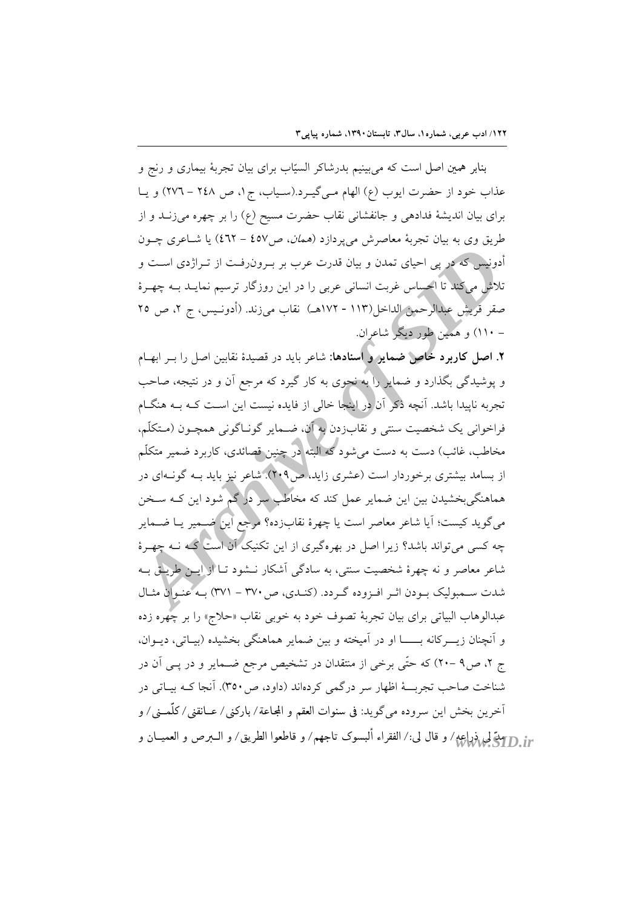بنابر همین اصل است که میبینیم بدرشاکر السیّاب برای بیان تجربهٔ بیماری و رنج و عذاب خود از حضرت ايوب (ع) الهام مبي گيـرد.(سـياب، ج١، ص ٢٤٨ - ٢٧٦) و يـا برای بیان اندیشهٔ فدادهی و جانفشانی نقاب حضرت مسیح (ع) را بر چهره میزنـد و از طریق وی به بیان تجربهٔ معاصرش میپردازد (*همان، ص۱*۵۷ – ٤٦٢) یا شـاعری چــون أدونيس كه در پي احياي تمدن و بيان قدرت عرب بر بــرونږفــت از تــراژدي اســت و تلاش میکند تا احساس غربت انسانی عربی را در این روزگار ترسیم نمایــد بــه چهــرهٔ صقر قريش عبدالرحمن الداخل(١١٣ - ١٧٢هـ) نقاب مي زند. (أدونـيس، ج ٢، ص ٢٥ – ۱۱۰) و همین طور دیگر شاعران.

۲. اصل کاربرد خاص ضمایر و اسنادها: شاعر باید در قصیدهٔ نقابین اصل را بــر ابهــام و پوشیدگی بگذارد و ضمایر را به نحوی به کار گیرد که مرجع آن و در نتیجه، صاحب تجربه ناپیدا باشد. اَنچه ذکر اَن در اینجا خالی از فایده نیست این اسـت کـه بــه هنگــام فراخواني يک شخصيت سنتي و نقابِزدن به آن، ضـماير گونـاگوني همچـون (مـتکلّم، مخاطب، غائب) دست به دست می شود که البته <mark>در چنین قصائدی، کاربرد ضمیر متکلّم</mark> از بسامد بیشتری برخوردار است (عشری زاید، ص۲۰۹). شاعر نیز باید بــه گونــهای در هماهنگیبخشیدن بین این ضمایر عمل کند که مخاطب سرگراگم شود این کـه ســخن مي گويد کيست؛ آيا شاعر معاصر است يا چهرهٔ نقابزده؟ مرجع اين ضـمير يــا ضــماير چه کسی می تواند باشد؟ زیرا اصل در بهرهگیری از این تکنیک آن است گیه نــه چهـرهٔ شاعر معاصر و نه چهرهٔ شخصیت سنتی، به سادگی آشکار نــشود تــا از آیــز طریــق بــه شدت سـمبوليک بـودن اثـر افـزوده گـردد. (کنـدي، ص٣٧٠ - ٣٧١) بـه عنـوان مثـال عبدالوهاب البياتي براي بيان تجربهٔ تصوف خود به خوبي نقاب «حلاج» را بر چهره زده و آنچنان زیـــرکانه بـــــــا او در آمیخته و بین ضمایر هماهنگی بخشیده (بیــاتی، دیــوان، ج ۲، ص۹ –۲۰) که حتّی برخی از منتقدان در تشخیص مرجع ضـمایر و در یـی آن در شناخت صاحب تجربــهٔ اظهار سر درگمی کردهاند (داود، ص۳۵۰). آنجا کـه بیــاتی در أخرين بخش اين سروده مي گويد: في سنوات العقم و المجاعة/ باركني/ عــانقني/ كلّمــني/ و <sub>rr</sub> [[إيمة لي ذراعه/ و قال لي:/ الفقراء ألبسوك تاجهم/ و قاطعوا الطريق/ و الـــبرص و العميـــان و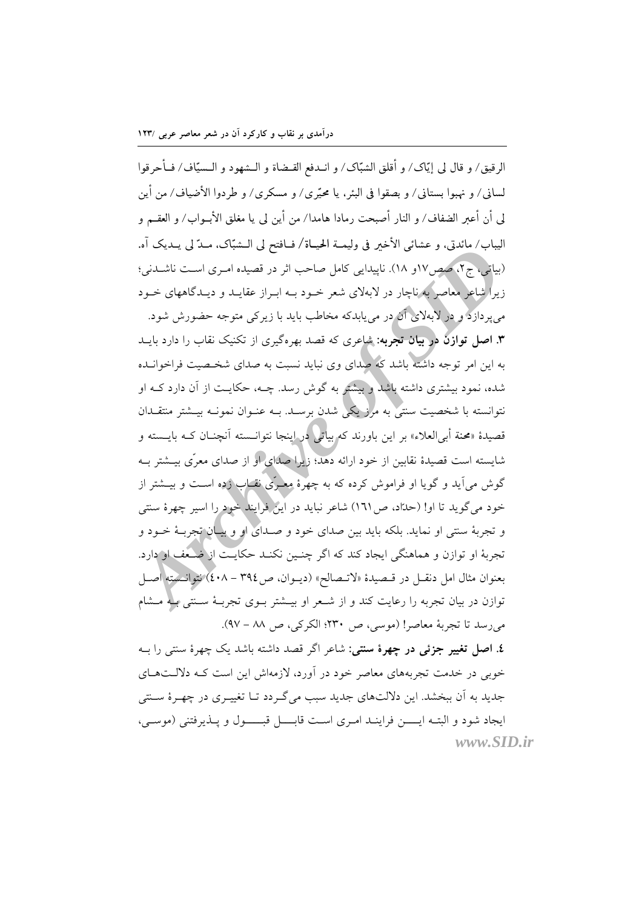درآمدی بر نقاب و کارکرد آن در شعر معاصر عربی /۱۲۳

الرقيق/ و قال لي إيَّاك/ و أقلق الشبَّاك/ و انــدفع القــضاة و الــشهود و الــسيّاف/ فــأحرقوا لساني/ و نهبوا بستاني/ و بصقوا في البئر ، يا محيَّري/ و مسكري/ و طردوا الأضياف/ من أين لى أن أعبر الضفاف/ و النار أصبحت رمادا هامدا/ من أين لي يا مغلق الأبــواب/ و العقــم و اليباب/ مائدتي، و عشائي الأخير في وليمــة الحيــاة/ فــافتح لي الــشبّاک، مــدّ لي يــديک آه. (بیاتی، ج۲، صص۱۷و ۱۸). ناپیدایی کامل صاحب اثر در قصیده امـری اسـت ناشــدنی؛ زیرا شاعر معاصر به ناچار در لابهلای شعر خـود بــه ابـراز عقایــد و دیــدگاههای خــود م ٍ یو دازد و در لابهلای آن در می پابدکه مخاطب باید با زیرکی متوجه حضورش شود. **۳. اصل توازن در بیان تجربه:** شاعری که قصد بهرهگیری از تکنیک نقاب را دارد بایــد به این امر توجه داشته باشد که صدای وی نباید نسبت به صدای شخـصیت فراخوانـده شده، نمود بیشتری داشته باشد و بیشتر به گوش رسد. چــه، حکایــت از آن دارد کــه او نتوانسته با شخصیت سنتی به مرز یکی شدن برسـد. بــه عنــوان نمونــه بیــشتر منتقــدان قصیدهٔ «محنة أبرالعلاء» بر این باورند که بیاتی در اینجا نتوانــسته آنچنــان کــه بایــسته و شایسته است قصیدهٔ نقابین از خود ارائه دهد؛ زیرا صدای او از صدای معرّی بیــشتر بــه گوش می آید و گویا او فراموش کرده که به چهرهٔ معـری نقـاب زده اسـت و بیــشتر از خود می گوید تا او! (حدَّاد، ص١٦١) شاعر نباید در این فرایند خود را اسیر چهرهٔ سنتی و تجربهٔ سنتي او نمايد. بلکه بايد بين صداي خود و صـداي او و بيـان تجربـهٔ خـود و تجربهٔ او توازن و هماهنگی ایجاد کند که اگر چنـین نکنـد حکایـت از ضـُعف او دارد. بعنوان مثال امل دنقـل در قـصيدة «لاتـصالح» (ديـوان، ص٣٩٤ - ٤٠٨) نتوانـسته اصـل توازن در بیان تجربه را رعایت کند و از شـعر او بیــشتر بــوی تجربــهٔ ســنتی بــه مــشام می رسد تا تجربهٔ معاصر! (موسى، ص ٢٣٠؛ الكركي، ص ٨٨ - ٩٧).

٤. اصل تغییر جزئی در چهرهٔ سنتی: شاعر اگر قصد داشته باشد یک چهرهٔ سنتی را بـه خوبی در خدمت تجربههای معاصر خود در اَورد، لازمهاش این است کـه دلالــتهــای جدید به آن ببخشد. این دلالتهای جدید سبب میگردد تـا تغییـری در چهـرهٔ سـنتی ايجاد شود و البتـه ايـــــن فراينــد امـرى اسـت قابــــل قبــــــول و پــذيرفتني (موســي، www.SID.ir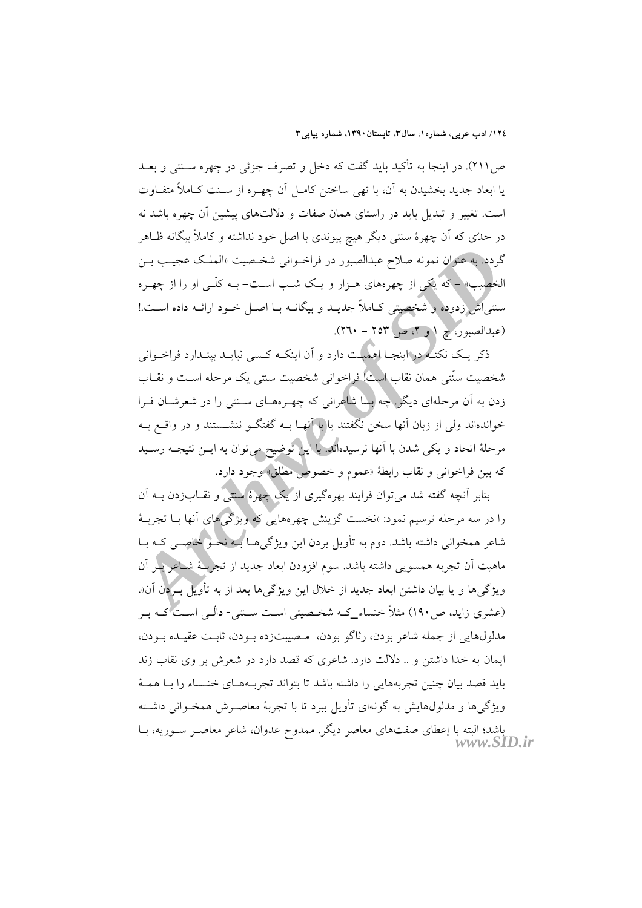ص ٢١١). در اينجا به تأكيد بايد گفت كه دخل و تصرف جزئي در چهره سـنتي و بعــد يا ابعاد جديد بخشيدن به آن، با تهى ساختن كامـل آن چهـره از سـنت كــاملاً متفــاوت است. تغییر و تبدیل باید در راستای همان صفات و دلالتهای پیشین آن چهره باشد نه در حدّی که اَن چهرهٔ سنتی دیگر هیچ پیوندی با اصل خود نداشته و کاملاً بیگانه ظــاهر گردد. به عنوان نمونه صلاح عبدالصبور در فراخــوانی شخــصیت «الملــک عجیــب بــن الخصیب» – که یکی از چهرههای هــزار و یــک شــب اســت- بــه کلّــی او را از چهــره سنتی اش زدوده و شخصیتی کـاملاً جدیــد و بیگانــه بــا اصــل خــود ارائــه داده اســت.! (عبدالصبور، ح ١ و ٢، ص ٢٥٣ - ٢٦٠).

ذکر یـک نکتـُـه در اینجـا اهمیـت دارد و اَن اینکـه کـسی نبایــد بپنــدارد فراخــوانی شخصیت سنّتی همان نقاب است! فراخوانی شخصیت سنتی یک مرحله اسـت و نقــاب زدن به آن مرحلهای دیگر ! چه پسا شاعرانی که چهـرههـای ســنتی را در شعرشــان فـرا خواندهاند ولي از زبان أنها سخن نگفتند يا با أنهـا بــه گفتگــو ننشــستند و در واقــع بــه مرحلهٔ اتحاد و یکی شدن با آنها نرسیدهاند. با این توضیح می توان به ایــن نتیجــه رســید كه بين فراخواني و نقاب رابطة «عموم و خصوص مطلق» وجود دارد.

بنابر آنچه گفته شد می توان فرایند بهرهگیری از یک چهرهٔ سنتی و نقــاب(دن بــه آن را در سه مرحله ترسیم نمود: «نخست گزینش چهرههایی که ویژگیهای آنها بــا تجربــهٔ شاعر همخوانی داشته باشد. دوم به تأویل بردن این ویژگیهـا بــه نحـو خاصــی کــه بــا ماهیت اَن تجربه همسویی داشته باشد. سوم افزودن ابعاد جدید از تجربـهٔ شـاعر بـْر اَن ویژگیها و یا بیان داشتن ابعاد جدید از خلال این ویژگیها بعد از به تأویل(بردن آن». (عشری زاید، ص ۱۹۰) مثلاً خنساء کـه شخـصیتی اسـت سـنتی- دالّـی اسـت کـه بـر مدلولهايي از جمله شاعر بودن، رثاگو بودن، مصيبتزده بـودن، ثابـت عقيـده بـودن، ایمان به خدا داشتن و .. دلالت دارد. شاعری که قصد دارد در شعرش بر وی نقاب زند بايد قصد بيان چنين تجربههايي را داشته باشد تا بتواند تجربـههـاي خنـساء را بـا همـهٔ ویژگی ها و مدلولهایش به گونهای تأویل ببرد تا با تجربهٔ معاصرش همخـوانی داشـته باشد؛ البته با إعطای صفتهای معاصر دیگر. ممدوح عدوان، شاعر معاصـر ســوریه، بــا<br>WWW.SID.ir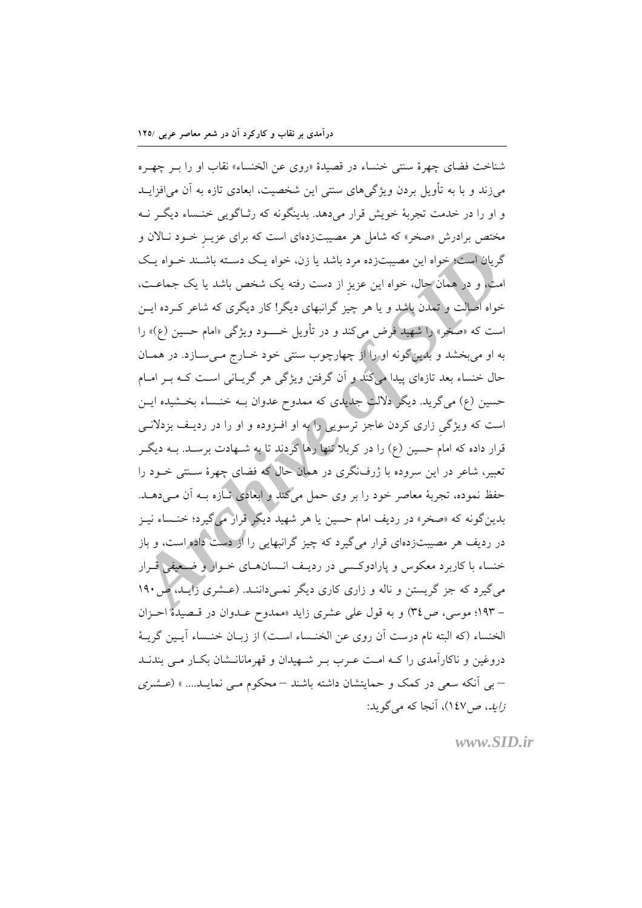شناخت فضاي چهرهٔ سنتي خنساء در قصيدهٔ «روي عن الخنساء» نقاب او را بـر چهـره میزند و با به تأویل بردن ویژگیهای سنتی این شخصیت، ابعادی تازه به آن می|فزایــد و او را در خدمت تجربهٔ خویش قرار میدهد. بدینگونه که رثـاگویی خنــساء دیگــر نــه مختص برادرش «صخر» که شامل هر مصیبتزدهای است که برای عزیـز خـود نــالان و گریان است؛ خواه این مصیبتزده مرد باشد یا زن، خواه یک دسته باشـند خـواه یـک امت. و در همان حال. خواه این عزیز از دست رفته یک شخص باشد یا یک جماعــت. خواه اصالت و تمدن باشد و یا هر چیز گرانبهای دیگر! کار دیگری که شاعر کـرده ایــن است که «صُخر» را شهید فرض می کند و در تأویل خــــود ویژگی «امام حسین (ع)» را به او مي بخشد و بلدينگونه او را از چهارچوب سنتي خود خــارج مــيســازد. در همــان حال خنساء بعد تازهای پیدا میکند و اَن گرفتن ویژگی هر گریـانی اسـت کــه بــر امــام حسین (ع) می گرید. دیگر دلالت جلایدی که ممدوح عدوان بــه خنــساء بخــشیده ایــن است که ویژگی زاری کردن عاجز ترسویی را به او افـزوده و او را در ردیـف بزدلانــی قرار داده که امام حسین (ع) را در کربلا تنها رها کردند تا به شــهادت برســد. بــه دیگــر تعبیر، شاعر در این سروده با ژرفنگری در همان حال که فضای چهرهٔ سـنتی خــود را حفظ نموده، تجربهٔ معاصر خود را بر وی حمل میکند و ابعادی تـازه بــه اَن مــیدهــد. بدین گونه که «صخر» در ردیف امام حسین یا هر شهید دیگر قرار میگیرد؛ خنـساء نیـز در ردیف هر مصیبتزدهای قرار میگیرد که چیز گرانبهایی را از دست داده است، و باز خنساء با کاربرد معکوس و پارادوکسی در ردیـف انـسان۱عـای خـوار و ضـعیفی قـرار میگیرد که جز گریستن و ناله و زاری کاری دیگر نمـیداننـد. (عـشری زایـد، ص – ۱۹۳؛ موسی، ص۳٤) و به قول علی عشری زاید «ممدوح عـدوان در قـصیدهٔ احـزان الخنساء (كه البته نام درست آن روى عن الخنـساء اسـت) از زبـان خنـساء آيـين گريــهٔ دروغین و ناکارآمدی را کـه امـت عـرب بـر شـهیدان و قهرمانانــشان بکـار مــی بندنــد –بی آنکه سعی در کمک و حمایتشان داشته باشند – محکوم مـی نمایــد.... » (عــشری زايد، ص١٤٧)، آنجا كه مي گويد:

 $www.SID.fr$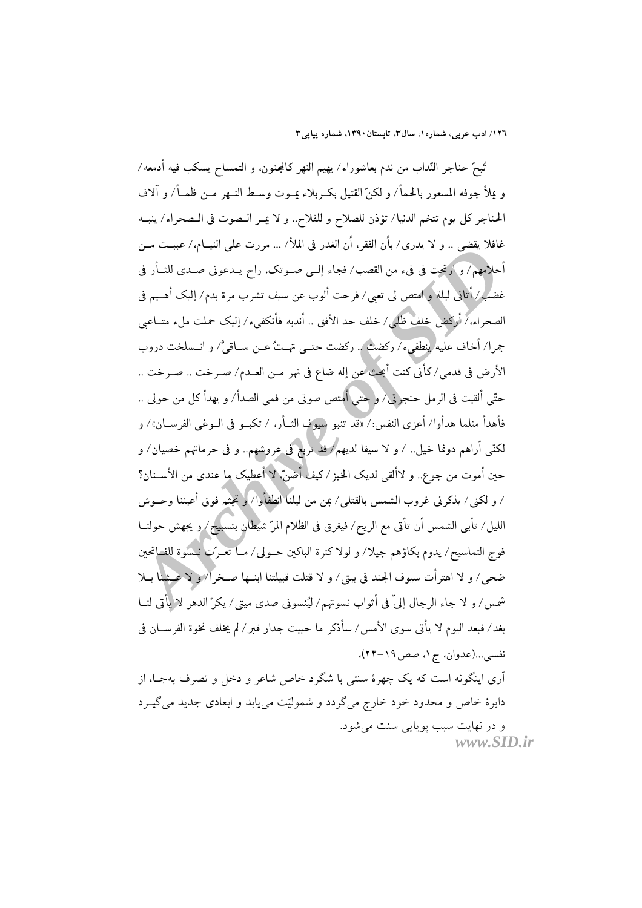تُبِعّ حناجر النَّداب من ندم بعاشوراء/ يهيم النهر كالمجنون، و التمساح يسكب فيه أدمعه/ و يملأ جوفه المسعور بالحمأ/ و لكنّ القتيل بكـربلاء يمـوت وسـط النـهر مـن ظمــأ/ و آلاف الجناجر كل يوم تتخم الدنيا/ تؤذن للصلاح و للفلاح.. و لا عبر البصوت في البصحراء/ ينبيه غافلا يقضي .. و لا يدري/ بأن الفقر، أن الغدر في الملأ/ ... مررت على النيــام،/ عببــت مــن أحلامهم/ و ارتحت في فيء من القصب/ فجاء إلـي صـوتك، راح يــدعوني صــدي للشأر في غضب/ أتاني ليلة و امتص لي تعبي/ فرحت ألوب عن سيف تشرب مرة بدم/ إليك أهـيم في الصحراء،/أركض خلف ظلَّى/ خلف حد الأفق .. أندبه فأنكفيء/ إليك حملت ملء متــاعبي جمرا/ أخاف عليه ينطفيء/ ركضت .. ركضت حتــي تهــتُ عــن ســاقيَّ/ و انــسلخت دروب الأرض في قدمي/كأني كنت أبحث عن إله ضاع في نهر مـن العـدم/ صـرخت .. صـرخت .. حتّى ألقيت في الرمل حنجرتي/ و حتى أُمتص صوتي من فمي الصدأ/ و يهدأ كل من حولي .. فأهدأ مثلما هدأوا/ أعزى النفس:/ «قد تنبو سيوف الثــأر، / تكبــو في الــوغي الفرســان»/ و لكنّي أراهم دونما خيل.. / و لا سيفا لديهم/ قد تربع في عروشهم.. و في حرماتهم خصيان/ و حين أموت من جوع.. و لاألقى لديك الخبز / كيف أضنَّ، لا أعطيك ما عندي من الأســنان؟ / و لكني/ يذكرني غروب الشمس بالقتلبي/ بمن من ليلنا انطفأوا/ ﴿ تَجْتُمْ فَوْقِ أَعْيَنْنَا وْحَــوشْ الليل/ تأبي الشمس أن تأتي مع الريح/ فيغرق في الظلام المرّ شيطان بتسبيح/ و يجهش حولنــا فوج التماسيح/ يدوم بكاؤهم جيلا/ و لولا كثرة الباكين حــولى/ مــا تعــرّت نــسوة للفــاتحين ضحي/ و لا اهترأت سيوف الجند في بيتي/ و لا قتلت قبيلتنا ابنــها صــخرا/ و لا عـِـشنا بــلا شمس/ و لا جاء الرجال إلىَّ في أُثواب نسوتهم/ ليُنسوني صدى ميتي/ يكرّ الدهر لا يأتي لنــا بغد/ فبعد اليوم لا يأتي سوى الأمس/ سأذكر ما حييت جدار قبر/ لم يخلف نخوة الفرســان في نفسي...(عدوان، ج١، صص١٩-٢۴)، اّری اینگونه است که یک چهرهٔ سنتی با شگرد خاص شاعر و دخل و تصرف بهجـا، از

دایرهٔ خاص و محدود خود خارج میگردد و شمولیّت مییابد و ابعادی جدید میگیـرد و در نهايت سبب يويايي سنت مي شود. www.SID.ir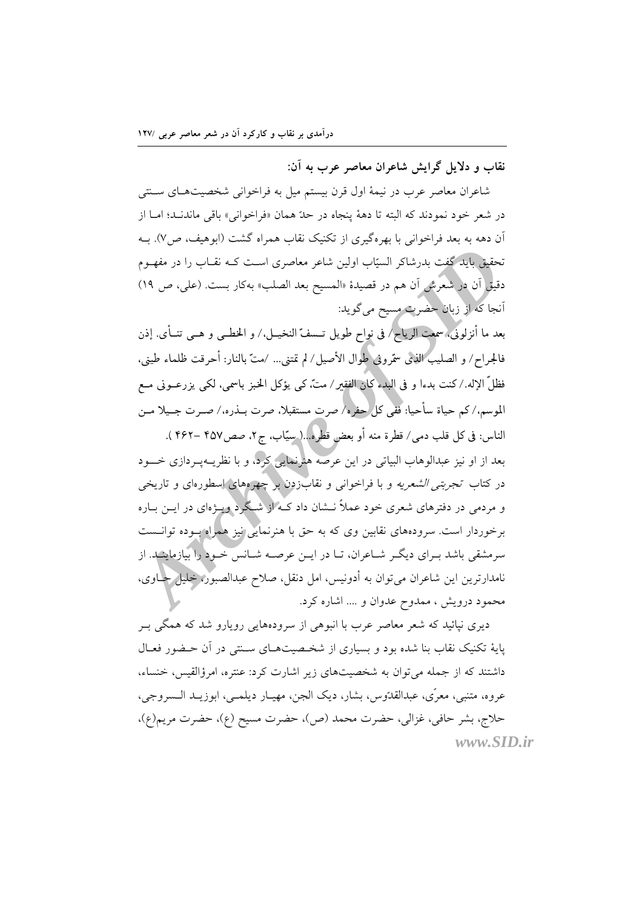نقاب و دلایل گرایش شاعران معاصر عرب به آن:

شاعران معاصر عرب در نیمهٔ اول قرن بیستم میل به فراخوانی شخصیتهـای سـنتی در شعر خود نمودند كه البته تا دههٔ ينجاه در حدّ همان «فراخواني» باقي ماندنـد؛ امـا از آن دهه به بعد فراخوانی با بهرهگیری از تکنیک نقاب همراه گشت (ابوهیف، ص/). بـه تحقیق باید گفت بدرشاکر السیّاب اولین شاعر معاصری است کـه نقـاب را در مفهــوم دقيق أن در شعرش أن هم در قصيدهٔ «المسيح بعد الصلب» بهكار بست. (على، ص ١٩) أنجا كه از زبان حضرت مسيح مي گويد:

بعد ما أنزلوني، سمعت الرياح/ في نواح طويل تــسفّ النخيــل،/ و الخطــي و هــي تنــأى. إذن فالجراح/ و الصليب الذي سمّروني طوال الأصيل/ لم تمتني... /متّ بالنار: أحرقت ظلماء طيني، فظلِّ الإله./كنت بدءا و في البدء كان الفقير/ متَّ، كي يؤكل الخبز باسمي، لكي يزرعــوني مــع الموسم،/كم حياة سأحيا: ففي كلِّ حِفْرِه\ صرت مستقبلاً، صرت بــذره،/ صــرت جــيلاً مــن

الناس: في كل قلب دمي/ قطرة منه أو بعض قطره...( سيّاب، ج٢، صص٤٥٧ –٤۶٢ ). بعد از او نیز عبدالوهاب البیاتی در این عرصه هنرنمایی کرد، و با نظریــهیــردازی خــــود در کتاب تجر*بتی الشعریه* و با فراخوانی و نقاب(دن بر چهرمهای اسطورمای و تاریخی و مردمی در دفترهای شعری خود عملاً نــشان داد کــه از شــگرد ویــژهای در ایــن بــاره برخوردار است. سرودههای نقابین وی که به حق با هنرنمایی نیز همراه بــوده توانــست سرمشقی باشد بـرای دیگـر شــاعران، تــا در ایــن عرصــه شــانس خــود را بیازماینـد. از نامدارترین این شاعران می توان به أدونیس، امل دنقل، صلاح عبدالصبور، خلیل حــاوی، محمود درویش ، ممدوح عدوان و .... اشاره کرد.

دیری نپائید که شعر معاصر عرب با انبوهی از سرودههایی رویارو شد که همگی بــر پایهٔ تکنیک نقاب بنا شده بود و بسیاری از شخـصیتهـای سـنتم در آن حـضور فعـال داشتند که از جمله می توان به شخصیتهای زیر اشارت کرد: عنتره، امرؤالقیس، خنساء، عروه، متنبي، معرّى، عبدالقدّوس، بشار، ديک الجن، مهيـار ديلمـي، ابوزيـد الـسروجي، حلاج، بشر حافي، غزالي، حضرت محمد (ص)، حضرت مسيح (ع)، حضرت مريم(ع)، www.SID.ir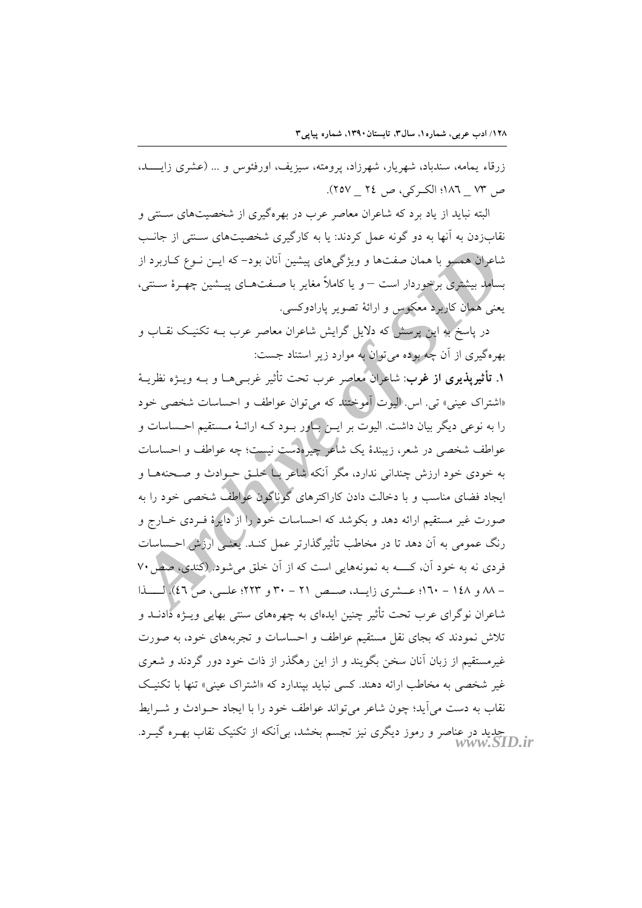زرقاء یمامه، سندباد، شهریار، شهرزاد، پرومته، سیزیف، اورفئوس و ... (عشری زایســد، ص ٧٣ - ١٨٦؛ الكبر كي، ص ٢٤ - ٢٥٧).

البته نباید از یاد برد که شاعران معاصر عرب در بهرهگیری از شخصیتهای سـنتی و نقابزدن به آنها به دو گونه عمل کردند: یا به کارگیری شخصیتهای سـنتی از جانـب شاعران همسو با همان صفتها و ویژگیهای پیشین آنان بود– که ایــن نــوع کــاربرد از بسامد بیشتری برخوردار است – و یا کاملاً مغایر با صـفتهـای پیـشین چهـرهٔ سـنتی، يعني همان كاربرد معكوس و ارائهٔ تصوير يارادوكسي.

در پاسخ به این پرسش که دلایل گرایش شاعران معاصر عرب بــه تکنیـک نقــاب و بهرهگیری از آن چُه بوده میتوان به موارد زیر استناد جست:

١. تأثيريذيري از غرب: شاعران معاصر عرب تحت تأثير غربـيهــا و بــه ويـــزه نظريــهٔ «اشتراک عینی» تی. اس. الیوت آموختند که می توان عواطف و احساسات شخصی خود را به نوعی دیگر بیان داشت. الیوت بر ایــن پـاور بــود کــه ارائــهٔ مــستقیم احــساسات و عواطف شخصی در شعر، زیبندهٔ یک شاعر چیرهدست نیست؛ چه عواطف و احساسات به خودی خود ارزش چندانی ندارد، مگر آنکه شاعر بیا خلیق حبوادث و صـحنههـا و ایجاد فضای مناسب و با دخالت دادن کاراکترهای گوناگون عواطف شخصی خود را به صورت غیر مستقیم ارائه دهد و بکوشد که احساسات خود را از دایرهٔ ف دی خــارج و رنگ عمومی به آن دهد تا در مخاطب تأثیر گذارتر عمل کنـد. یعنـی ارزش احـساسات فردی نه به خود آن، کـــــه به نمونههایی است که از آن خلق میشود. (کندی، صص ۷۰ - ٨٨ و ١٤٨ - ١٦٠؛ عــشرى زايــد، صــص ٢١ - ٣٠ و ٢٢٣؛ علــي، ص ٤٦). لــــذا شاعران نوگرای عرب تحت تأثیر چنین ایدهای به چهرههای سنتی بهایی ویـژه دادنــد و تلاش نمودند که بجای نقل مستقیم عواطف و احساسات و تجربههای خود، به صورت غیرمستقیم از زبان آنان سخن بگویند و از این رهگذر از ذات خود دور گردند و شعری غیر شخصی به مخاطب ارائه دهند. کسی نباید بیندارد که «اشتراک عینی» تنها با تکنیک نقاب به دست مي آيد؛ چون شاعر مي تواند عواطف خود را با ايجاد حـوادث و شـرايط جدید در عناصر و رموز دیگری نیز تجسم بخشد، بیlنکه از تکنیک نقاب بهـره گیــرد.<br>WWW.SID.ir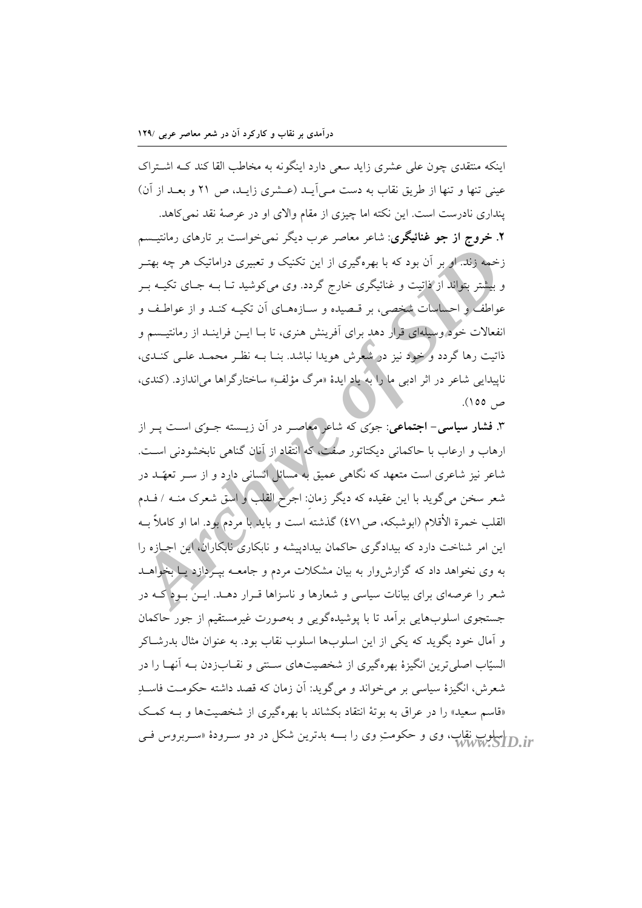درآمدی بر نقاب و کارکرد آن در شعر معاصر عربی /۱۲۹

اینکه منتقدی چون علی عشری زاید سعی دارد اینگونه به مخاطب القا کند کـه اشـتراک عینی تنها و تنها از طریق نقاب به دست مـی]یـد (عـشری زایـد، ص ۲۱ و بعـد از آن) پنداری نادرست است. این نکته اما چیزی از مقام والای او در عرصهٔ نقد نمی کاهد. **۲. خروج از جو غنائیگری**: شاعر معاصر عرب دیگر نمی خواست بر تارهای رمانتیــسم

زخمه زند. او بر آن بود که با بهرهگیری از این تکنیک و تعبیری دراماتیک هر چه بهتـر و بیشتر بتواند از ذاتیت و غنائیگری خارج گردد. وی میکوشید تــا بــه جــای تکیــه بــر عواطف و احساسات شخصی، بر قـصیده و ســازههــای آن تکیــه کنــد و از عواطـف و انفعالات خود وسیلهای قرار دهد برای آفرینش هنری، تا بـا ایــن فراینــد از رمانتیــسم و ذاتیت رها گردد و خود نیز در شعرش هویدا نباشد. بنــا بــه نظــر محمــد علــی کنــدی، ناپیدایی شاعر در اثر ادب<sub>ی</sub> ما را به یاد ایدهٔ «مرگ مؤلف» ساختارگراها می(ندازد. (کندی، ص ١٥٥).

۳. فش**ار سیاسی- اجتماعی**: جوّی که شاعر معاصـر در آن زیـسته جـوّی اسـت پـر از ارهاب و ارعاب با حاکمانی دیکتاتور صفت، که انتقاد از آنان گناهی نابخشودنی است. شاعر نیز شاعری است متعهد که نگاهی عمیق به مسائل انسانی دارد و از ســر تعهّــد در شعر سخن میگوید با این عقیده که دیگر زمان: اجرح القلب و اسق شعرک منــه / فــدم القلب خمرة الأقلام (ابوشبكه، ص١٧) گذشته است و بايلاً با مردم بود. اما او كاملاً بــه این امر شناخت دارد که بیدادگری حاکمان بیدادییشه و نابکاری نابکارآن، این اجبازه را به وی نخواهد داد که گزارش وار به بیان مشکلات مردم و جامعــه بیــردازد یــا بخواهــد شعر را عرصهای برای بیانات سیاسی و شعارها و ناسزاها قـرار دهـد. ایـن بـود کـه در جستجوی اسلوبهایی برآمد تا با پوشیدهگویی و بهصورت غیرمستقیم از جور حاکمان و اَّمال خود بگوید که یکی از این اسلوبها اسلوب نقاب بود. به عنوان مثال بدرشــاکر السیّاب اصلی ترین انگیزهٔ بهرهگیری از شخصیتهای سـنتی و نقــابزدن بــه آنهــا را در شعرش، انگیزهٔ سیاسی بر می خواند و می گوید: آن زمان که قصد داشته حکومت فاسـد «قاسم سعید» را در عراق به بوتهٔ انتقاد بکشاند با بهرهگیری از شخصیتها و بــه کمـک ir رواسلوب نقاب، وی و حکومتِ وی را بـــه بدترین شکل در دو سـرودهٔ «سـربروس فــی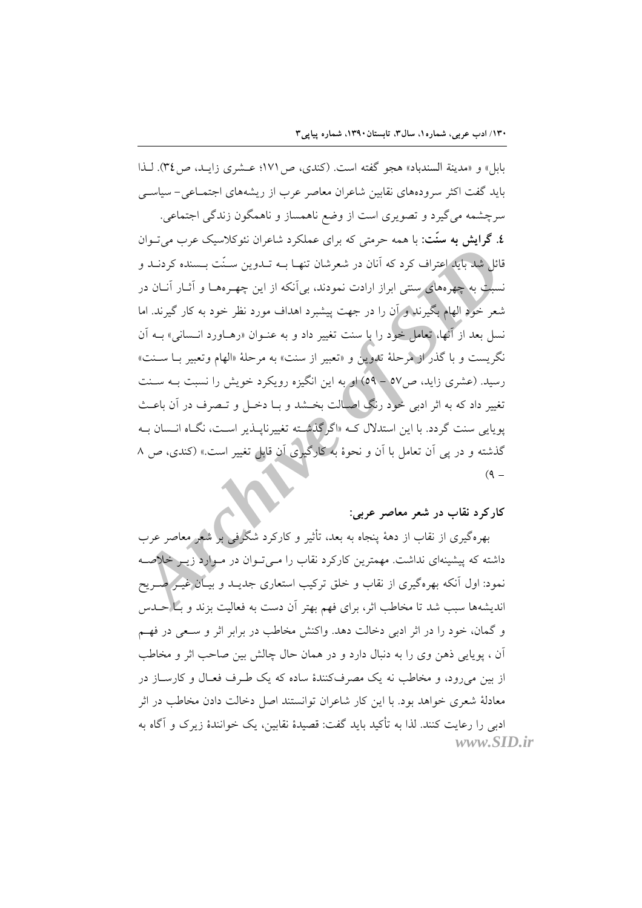بابل» و «مدينة السندباد» هجو گفته است. (كندي، ص ١٧١؛ عـشري زايـد، ص٣٤). لـذا باید گفت اکثر سرودههای نقایین شاعران معاصر عرب از ریشههای اجتمـاعی – سیاسـی

سرچشمه می گیرد و تصویری است از وضع ناهمساز و ناهمگون زندگی اجتماعی. **٤. گرایش به سنّت:** با همه حرمتی که برای عملکرد شاعران نئوکلاسیک عرب می تــوان قائل شد باید اعتراف کرد که آنان در شعرشان تنهـا بــه تــدوین ســنّت بــسنده کردنــد و نسبت به چهرههای سنتی ابراز ارادت نمودند، بی آنکه از این چهـرههــا و آثــار آنــان در شعر خود الهام بگیرنلدو آن را در جهت پیشبرد اهداف مورد نظر خود به کار گیرند. اما نسل بعد از آنها، تعامل خود را با سنت تغییر داد و به عنـوان «رهــاورد انــسانی» بــه آن نگريست و با گذر از مرحلهٔ تدوين و «تعبير از سنت» به مرحلهٔ «الهام وتعبير بــا ســنت» رسید. (عشری زاید، ص۷۰ – ۵۹) او به این انگیزه رویکرد خویش را نسبت بــه ســنت تغییر داد که به اثر ادبی خود رنگ اصبالت بخشد و بــا دخــل و تــصرف در آن باعــث یوپایی سنت گردد. با این استدلال کــه «اگرگذشــته تغییرناپــذیر اســت، نگــاه انــسان بــه گذشته و در پی آن تعامل با آن و نحوهٔ به کارگیری آن قابل تغییر است.» (کندی، ص ۸  $(9 -$ 

## کارکرد نقاب در شعر معاصر عربی:

بهرهگیری از نقاب از دههٔ پنجاه به بعد، تأثیر و کارکرد شگرافی بر شعر معاصر عرب داشته که پیشینهای نداشت. مهمترین کارکرد نقاب را مـی تـوان در مـوارد زیـر خلاصـه نمود: اول اّنکه بهرهگیری از نقاب و خلق ترکیب استعاری جدیــد و بیــان غیــر صــریح اندیشهها سبب شد تا مخاطب اثر، برای فهم بهتر آن دست به فعالیت بزند و بــا حــدس و گمان، خود را در اثر ادبی دخالت دهد. واكنش مخاطب در برابر اثر و سعی در فهم اّن ، يوپايي ذهن وي را به دنبال دارد و در همان حال چالش بين صاحب اثر و مخاطب از بین می رود، و مخاطب نه یک مصرفکنندهٔ ساده که یک طـرف فعـال و کارســاز در معادلهٔ شعری خواهد بود. با این کار شاعران توانستند اصل دخالت دادن مخاطب در اثر ادبی را رعایت کنند. لذا به تأکید باید گفت: قصیدهٔ نقابین، یک خوانندهٔ زیرک و آگاه به

www.SID.ir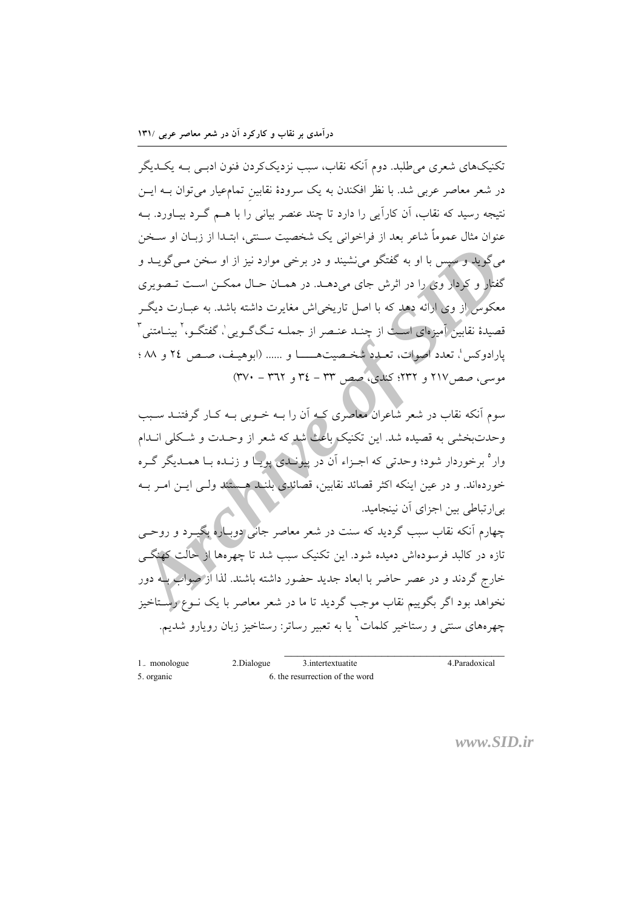درآمدی بر نقاب و کارکرد آن در شعر معاصر عربی /۱۳۱

تکنیکهای شعری می طلبد. دوم آنکه نقاب، سبب نزدیککردن فنون ادبـی بــه یکــدیگر در شعر معاصر عربی شد. با نظر افکندن به یک سرودهٔ نقابین تمامِعیار میتوان بــه ایــن نتیجه رسید که نقاب، اَن کاراَیی را دارد تا چند عنصر بیانی را با هــم گــرد بیـاورد. بــه عنوان مثال عموماً شاعر بعد از فراخوانی یک شخصیت سـنتی، ابتـدا از زبــان او ســخن می گوید و سپس با او به گفتگو می نشیند و در برخی موارد نیز از او سخن مــی گویــد و گفتار و کردار وی را در اثرش جای میدهـد. در همـان حـال ممکـن اسـت تـصویری معکوس از وی ارائه دهد که با اصل تاریخی اش مغایرت داشته باشد. به عبــارت دیگــر قصیدهٔ نقابین آمیزهای است از چنـد عنـصر از جملـه تـگ6ـو پی'، گفتگـو،' بینـامتنی " بارادوكس؛ تعدد اصوات، تعبدد شخصیتهــــا و ...... (ابوهیف، صص ٢٤ و ٨٨ ؛ موسى، صص١٧ و ٢٣٢؛ كندى، صص ٣٣ - ٣٤ و ٣٦٢ - ٣٧٠)

سوم آنکه نقاب در شعر شاعران معاصری کـه آن را بـه خـوبی بـه کـار گرفتنــد ســبب وحدتبخشی به قصیده شد. این تکنیک باعث شد که شعر از وحـدت و شـکلی انــدام وار° برخوردار شود؛ وحدتی که اجـزاء اَن در پیونـدی پویـا و زنـده بـا همـدیگر گـره خوردهاند. و در عین اینکه اکثر قصائد نقابین، قصائلای بلنـید هــبیثند ولــی ایــن امــر بــه بی|رتباطی بین اجزای آن نینجامید.

چهارم آنکه نقاب سبب گردید که سنت در شعر معاصر جانبی دوبباره بگیــرد و روحـــی تازه در کالبد فرسودهاش دمیده شود. این تکنیک سبب شد تا چهرهها از حالت کهنگے خارج گردند و در عصر حاضر با ابعاد جدید حضور داشته باشند. لذا از صواب بله دور نخواهد بود اگر بگوییم نقاب موجب گردید تا ما در شعر معاصر با یک نــوع رســتاخیز چهرههای سنتی و رستاخیر کلمات<sup>7</sup> یا به تعبیر رساتر: رستاخیز زبان رویارو شدیم.

| 1. monologue | 2.Dialogue | 3. intertextuatite              | 4. Paradoxical |
|--------------|------------|---------------------------------|----------------|
| 5. organic   |            | 6, the resurrection of the word |                |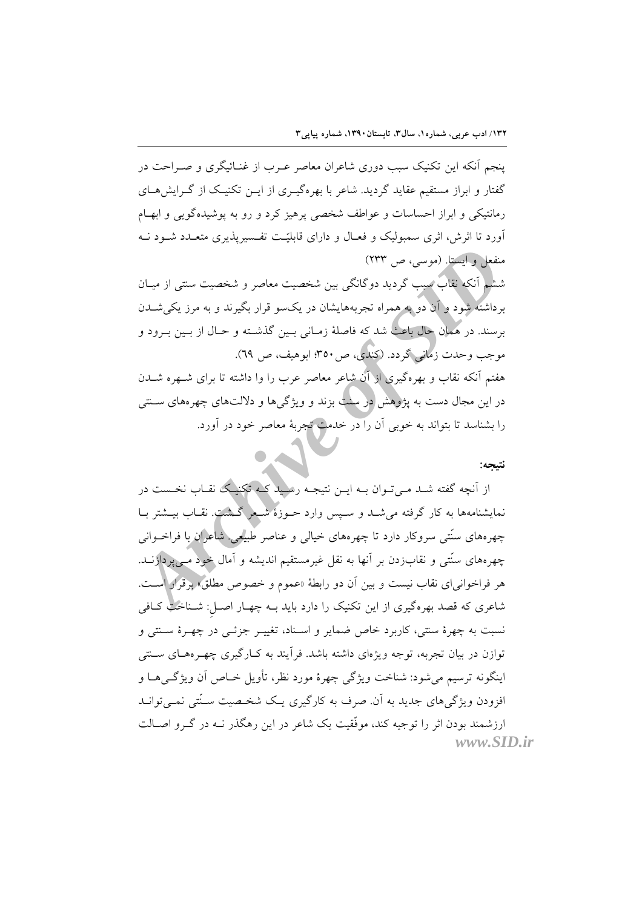ینجم آنکه این تکنیک سبب دوری شاعران معاصر عـرب از غنــائیگری و صــراحت در گفتار و ابراز مستقیم عقاید گردید. شاعر با بهرهگیـری از ایــن تکنیـک از گــرایشهــای رمانتیکی و ابراز احساسات و عواطف شخصی پرهیز کرد و رو به پوشیدهگویی و ابهام آورد تا اثرش، اثری سمبولیک و فعــال و دارای قابلیّـت تفــسیریذیری متعــدد شــود نــه منفعل و ايستا. (موسى، ص ٢٣٣)

ششم آنکه نقاب سبب گردید دوگانگی بین شخصیت معاصر و شخصیت سنتی از میـان برداشته شود و آن دو به همراه تجربههایشان در یکسو قرار بگیرند و به مرز یکی شــدن برسند. در همان حال باعث شد که فاصلهٔ زمـانی بـین گذشـته و حـال از بـین بـرود و موجب وحدت زماني گردد. (کندلی، ص٥٠٣، ابوهيف، ص ٦٩). هفتم آنکه نقاب و بهرهگیری از آن شاعر معاصر عرب را وا داشته تا برای شــهره شــدن در این مجال دست به یژوهش در سنت بزند و ویژگرها و دلالتهای چهرههای سـنتی را بشناسد تا بتواند به خوبی آن را در خدمت تجربهٔ معاصر خود در آورد.

### نتىحە:

از آنچه گفته شـد مـی تـوان بـه ایـن نتیجـه رسلید کـه تکنیـک نقـاب نخـست در نمایشنامهها به کار گرفته میشـد و سـپس وارد حــوزهٔ شــعر گــشت. نقــاب بیــشتر بــا چهرههای سنّتی سروکار دارد تا چهرههای خیالی و عناصر طبیعی شاعران با فراخــوانی چهرههای سنّتی و نقابزدن بر آنها به نقل غیرمستقیم اندیشه و آمال خود مـی، دازنــد. هر فراخوانی ای نقاب نیست و بین آن دو رابطهٔ «عموم و خصوص مطلق» برقرار است. شاعری که قصد بهرهگیری از این تکنیک را دارد باید بـه چهـار اصـل: شــناخت کــافی نسبت به چهرهٔ سنتی، کاربرد خاص ضمایر و اسـناد، تغییـر جزئـی در چهـرهٔ سـنتی و توازن در بیان تجربه، توجه ویژهای داشته باشد. فرأیند به کـارگیری چهـرههـای ســنتی اينگونه ترسيم ميشود: شناخت ويژگي چهرهٔ مورد نظر، تأويل خــاص آن ويژگــيهــا و افزودن ویژگیهای جدید به آن صرف به کارگیری یک شخصیت سـُنتی نمـیتوانـد ارزشمند بودن اثر را توجیه کند، موفَّقیت یک شاعر در این رهگذر نــه در گــرو اصــالت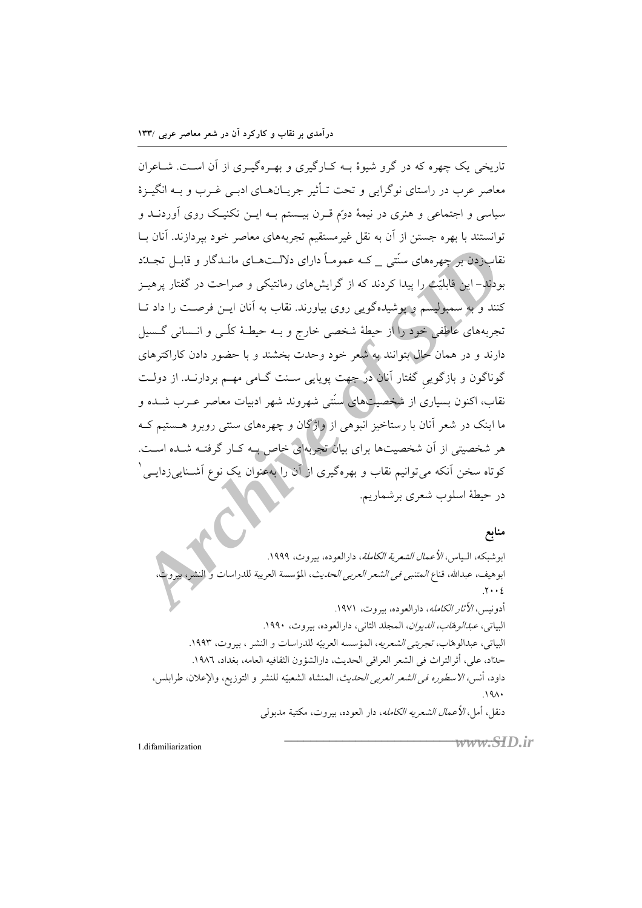تاریخی یک چهره که در گرو شبوهٔ بـه کـارگیری و بهـرهگیـری از آن اسـت. شـاعران معاصر عرب در راستای نوگرایی و تحت تـأثیر جریـانهــای ادبــی غــرب و بــه انگیــزهٔ سیاسی و اجتماعی و هنری در نیمهٔ دوم قـرن بیـستم بـه ایـن تکنیـک روی آوردنــد و توانستند با بهره جستن از آن به نقل غیرمستقیم تجربههای معاصر خود بیردازند. آنان بــا نقاب(دن بر چهرههای سنّتی که عمومـاً دارای دلالـتهـای مانـدگار و قابـل تجـلدّد بودند – این قابلیّت را پیدا کردند که از گرایش های رمانتیکی و صراحت در گفتار پرهیــز کنند و به سمبولیسم و یوشیدهگویی روی بیاورند. نقاب به آنان ایــن فرصــت را داد تــا تجربههای عاطفی خود را از حیطهٔ شخصی خارج و بـه حیطـهٔ کلّـی و انــسانی گــسیل دارند و در همان حال بتوانند به شعر خود وحدت بخشند و با حضور دادن کاراکترهای گوناگون و بازگویی گفتار آنان در جهت پویایی ســنت گــامی مهــم بردارنــد. از دولــت نقاب، اکنون بسیاری از شخصیتهای سنّتی شهروند شهر ادبیات معاصر عــرب شــده و ما اینک در شعر آنان با رستاخیز آنبوهی از واژگان و چهرههای سنتی رویرو هستیم ک هر شخصیتی از آن شخصیتها برای بیان تجربهای خاص بـه کـار گرفتـه شـده اسـت. کوتاه سخن آنکه می توانیم نقاب و بهرهگیری از آن را بهعنوان یک نوع آشــنایی زدایــی ْ در حيطة اسلوب شعرى برشماريم.

منابع ابوشبكه، الـياس، *الأعمال الشعرية الكاملة*، دارالعوده، بيروت، ١٩٩٩. ابوهيف، عبدالله، قناع *المتنبي في الشعر العربي الحديث*، المؤسسة العربية للدراسات و النش  $.7 \cdot 2$ أدونيس، *الآثار الكامله*، دارالعوده، بي<sub>ر</sub>وت، ١٩٧١. البياتي، *عبدالوهاب، الديوان*، المجلد الثاني، دارالعوده، بيروت، ١٩٩٠. البياتي، عبدالوهاب، *تجربتي الشعريه*، المؤسسه العربيّه للدراسات و النشر ، بيروت، ١٩٩٣. حدّاد، على، أثرالتراث في الشعر العراقي الحديث، دارالشؤون الثقافيه العامه، بغداد، ١٩٨٦. داود، أنس*، الاسطوره في الشعر العربي الحديث*، المنشاه الشعبيّه للنشر و التوزيع، والإعلان، طرابلس،  $.19A$ دنقل، أمل، *الأعمال الشعريه الكامله*، دار العوده، بيروت، مكتبة مدبولي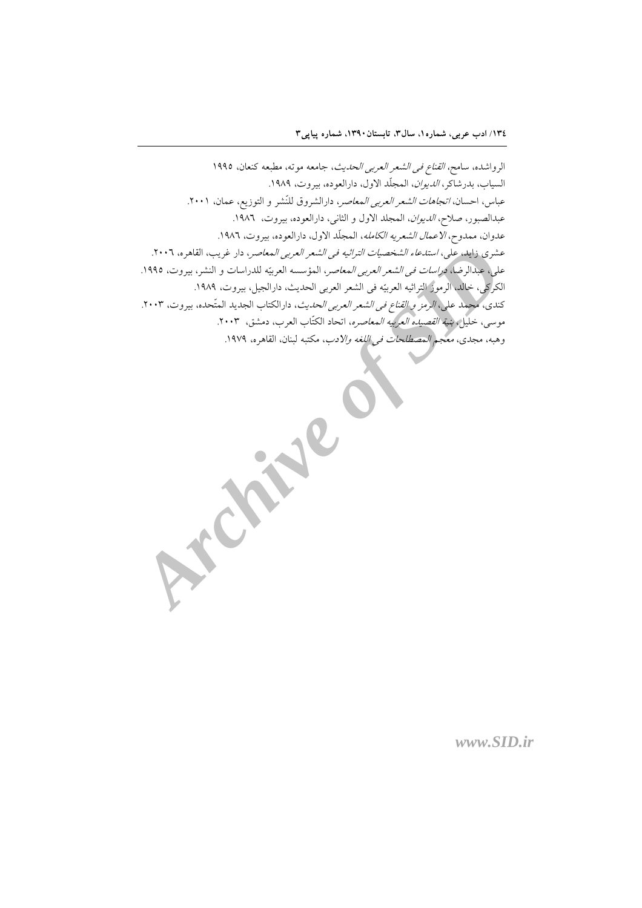الرواشده، سامح، *القناع في الشعر العربي الحديث*، جامعه موته، مطبعه كنعان، ١٩٩٥ السياب، بدرشاكر، *الديوان*، المجلّد الاول، دارالعوده، بيروت، ١٩٨٩. عباس، احسان، *اتجاهات الشعر العربي المعاصر*، دارالشروق للنّشر و التوزيع، عمان، ٢٠٠١. عبدالصبور، صلا*ح، الديوان*، المجلد الاول و الثاني، دارالعوده، بيروت، ١٩٨٦. عدوان، ممدوح، *الاعمال الشعريه الكامله*، المجلّد الاول، دارالعوده، بيروت، ١٩٨٦. عشري زايد، علي، *استدعاء الشخصيات التراثيه في الشعر العربي المعاص*ر، دار غريب، القاهره، ٢٠٠٦. على، عبدالرضا، *دراسات في الشعر العربي المعاصر*، المؤسسه العربيّه للدراسات و النشر، بيروت، ١٩٩٥. الكركي، خالد، الرموز التراثيه العربيّه في الشعر العربي الحديث، دارالجيل، بيروت، ١٩٨٩. كندي، محمد علي، *الرمز و القناع في الشعر العربي الحديث*، دارالكتاب الجديد المتّحده، بيروت، ٢٠٠٣. موسى، خليل، *بنية القصيده العربيه المعاصره*، اتحاد الكتّاب العرب، دمشق، ٢٠٠٣. وهبه، مجدى، *معجم المصطلحات في اللغه والادب*، مكتبه لبنان، القاهره، ١٩٧٩.

www.SID.ir